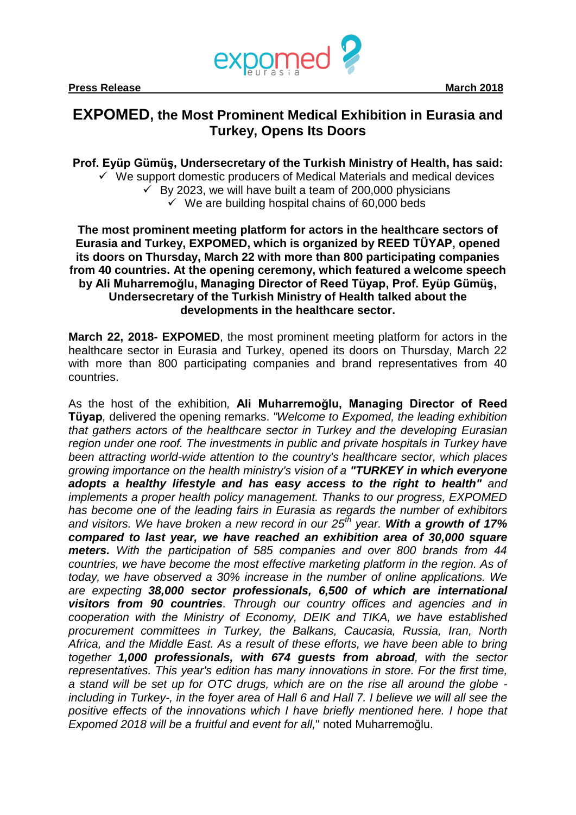

## **EXPOMED, the Most Prominent Medical Exhibition in Eurasia and Turkey, Opens Its Doors**

**Prof. Eyüp Gümüş, Undersecretary of the Turkish Ministry of Health, has said:**  $\checkmark$  We support domestic producers of Medical Materials and medical devices  $\overline{v}$  By 2023, we will have built a team of 200,000 physicians  $\checkmark$  We are building hospital chains of 60,000 beds

**The most prominent meeting platform for actors in the healthcare sectors of Eurasia and Turkey, EXPOMED, which is organized by REED TÜYAP, opened its doors on Thursday, March 22 with more than 800 participating companies from 40 countries. At the opening ceremony, which featured a welcome speech by Ali Muharremoğlu, Managing Director of Reed Tüyap, Prof. Eyüp Gümüş, Undersecretary of the Turkish Ministry of Health talked about the developments in the healthcare sector.**

**March 22, 2018- EXPOMED**, the most prominent meeting platform for actors in the healthcare sector in Eurasia and Turkey, opened its doors on Thursday, March 22 with more than 800 participating companies and brand representatives from 40 countries.

As the host of the exhibition*,* **Ali Muharremoğlu, Managing Director of Reed Tüyap***,* delivered the opening remarks. *"Welcome to Expomed, the leading exhibition that gathers actors of the healthcare sector in Turkey and the developing Eurasian region under one roof. The investments in public and private hospitals in Turkey have been attracting world-wide attention to the country's healthcare sector, which places growing importance on the health ministry's vision of a "TURKEY in which everyone adopts a healthy lifestyle and has easy access to the right to health" and implements a proper health policy management. Thanks to our progress, EXPOMED has become one of the leading fairs in Eurasia as regards the number of exhibitors and visitors. We have broken a new record in our 25th year. With a growth of 17% compared to last year, we have reached an exhibition area of 30,000 square meters. With the participation of 585 companies and over 800 brands from 44 countries, we have become the most effective marketing platform in the region. As of today, we have observed a 30% increase in the number of online applications. We are expecting 38,000 sector professionals, 6,500 of which are international visitors from 90 countries. Through our country offices and agencies and in cooperation with the Ministry of Economy, DEIK and TIKA, we have established procurement committees in Turkey, the Balkans, Caucasia, Russia, Iran, North Africa, and the Middle East. As a result of these efforts, we have been able to bring together 1,000 professionals, with 674 guests from abroad, with the sector representatives. This year's edition has many innovations in store. For the first time, a stand will be set up for OTC drugs, which are on the rise all around the globe including in Turkey-, in the foyer area of Hall 6 and Hall 7. I believe we will all see the positive effects of the innovations which I have briefly mentioned here. I hope that Expomed 2018 will be a fruitful and event for all,*" noted Muharremoğlu.